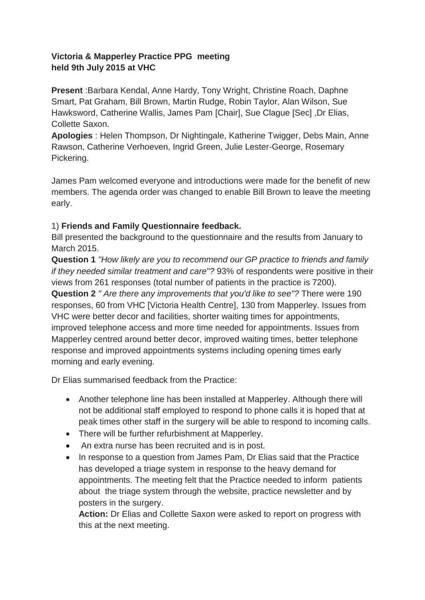## **Victoria & Mapperley Practice PPG meeting held 9th July 2015 at VHC**

**Present** :Barbara Kendal, Anne Hardy, Tony Wright, Christine Roach, Daphne Smart, Pat Graham, Bill Brown, Martin Rudge, Robin Taylor, Alan Wilson, Sue Hawksword, Catherine Wallis, James Pam [Chair], Sue Clague [Sec] ,Dr Elias, Collette Saxon.

**Apologies** : Helen Thompson, Dr Nightingale, Katherine Twigger, Debs Main, Anne Rawson, Catherine Verhoeven, Ingrid Green, Julie Lester-George, Rosemary Pickering.

James Pam welcomed everyone and introductions were made for the benefit of new members. The agenda order was changed to enable Bill Brown to leave the meeting early.

# 1) **Friends and Family Questionnaire feedback.**

Bill presented the background to the questionnaire and the results from January to March 2015.

**Question 1** *"How likely are you to recommend our GP practice to friends and family if they needed similar treatment and care"?* 93% of respondents were positive in their views from 261 responses (total number of patients in the practice is 7200).

**Question 2** *" Are there any improvements that you'd like to see"?* There were 190 responses, 60 from VHC [Victoria Health Centre], 130 from Mapperley. Issues from VHC were better decor and facilities, shorter waiting times for appointments, improved telephone access and more time needed for appointments. Issues from Mapperley centred around better decor, improved waiting times, better telephone response and improved appointments systems including opening times early morning and early evening.

Dr Elias summarised feedback from the Practice:

- Another telephone line has been installed at Mapperley. Although there will not be additional staff employed to respond to phone calls it is hoped that at peak times other staff in the surgery will be able to respond to incoming calls.
- There will be further refurbishment at Mapperley.
- An extra nurse has been recruited and is in post.
- In response to a question from James Pam, Dr Elias said that the Practice has developed a triage system in response to the heavy demand for appointments. The meeting felt that the Practice needed to inform patients about the triage system through the website, practice newsletter and by posters in the surgery.

**Action:** Dr Elias and Collette Saxon were asked to report on progress with this at the next meeting.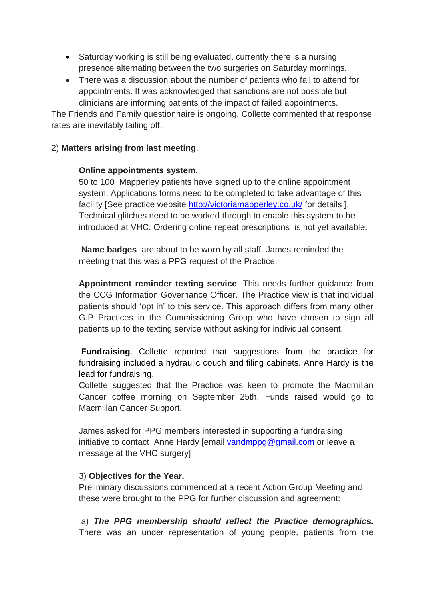- Saturday working is still being evaluated, currently there is a nursing presence alternating between the two surgeries on Saturday mornings.
- There was a discussion about the number of patients who fail to attend for appointments. It was acknowledged that sanctions are not possible but clinicians are informing patients of the impact of failed appointments.

The Friends and Family questionnaire is ongoing. Collette commented that response rates are inevitably tailing off.

#### 2) **Matters arising from last meeting**.

#### **Online appointments system.**

50 to 100 Mapperley patients have signed up to the online appointment system. Applications forms need to be completed to take advantage of this facility [See practice website<http://victoriamapperley.co.uk/> for details ]. Technical glitches need to be worked through to enable this system to be introduced at VHC. Ordering online repeat prescriptions is not yet available.

**Name badges** are about to be worn by all staff. James reminded the meeting that this was a PPG request of the Practice.

**Appointment reminder texting service**. This needs further guidance from the CCG Information Governance Officer. The Practice view is that individual patients should 'opt in' to this service. This approach differs from many other G.P Practices in the Commissioning Group who have chosen to sign all patients up to the texting service without asking for individual consent.

**Fundraising**. Collette reported that suggestions from the practice for fundraising included a hydraulic couch and filing cabinets. Anne Hardy is the lead for fundraising.

Collette suggested that the Practice was keen to promote the Macmillan Cancer coffee morning on September 25th. Funds raised would go to Macmillan Cancer Support.

James asked for PPG members interested in supporting a fundraising initiative to contact Anne Hardy [email [vandmppg@gmail.com](mailto:vandmppg@gmail.com) or leave a message at the VHC surgery]

## 3) **Objectives for the Year.**

Preliminary discussions commenced at a recent Action Group Meeting and these were brought to the PPG for further discussion and agreement:

a) *The PPG membership should reflect the Practice demographics.* There was an under representation of young people, patients from the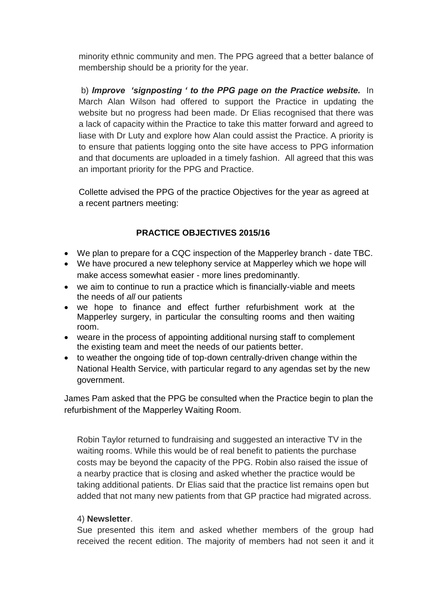minority ethnic community and men. The PPG agreed that a better balance of membership should be a priority for the year.

b) *Improve 'signposting ' to the PPG page on the Practice website.* In March Alan Wilson had offered to support the Practice in updating the website but no progress had been made. Dr Elias recognised that there was a lack of capacity within the Practice to take this matter forward and agreed to liase with Dr Luty and explore how Alan could assist the Practice. A priority is to ensure that patients logging onto the site have access to PPG information and that documents are uploaded in a timely fashion. All agreed that this was an important priority for the PPG and Practice.

Collette advised the PPG of the practice Objectives for the year as agreed at a recent partners meeting:

# **PRACTICE OBJECTIVES 2015/16**

- We plan to prepare for a CQC inspection of the Mapperley branch date TBC.
- We have procured a new telephony service at Mapperley which we hope will make access somewhat easier - more lines predominantly.
- we aim to continue to run a practice which is financially-viable and meets the needs of *all* our patients
- we hope to finance and effect further refurbishment work at the Mapperley surgery, in particular the consulting rooms and then waiting room.
- weare in the process of appointing additional nursing staff to complement the existing team and meet the needs of our patients better.
- to weather the ongoing tide of top-down centrally-driven change within the National Health Service, with particular regard to any agendas set by the new government.

James Pam asked that the PPG be consulted when the Practice begin to plan the refurbishment of the Mapperley Waiting Room.

Robin Taylor returned to fundraising and suggested an interactive TV in the waiting rooms. While this would be of real benefit to patients the purchase costs may be beyond the capacity of the PPG. Robin also raised the issue of a nearby practice that is closing and asked whether the practice would be taking additional patients. Dr Elias said that the practice list remains open but added that not many new patients from that GP practice had migrated across.

## 4) **Newsletter**.

Sue presented this item and asked whether members of the group had received the recent edition. The majority of members had not seen it and it